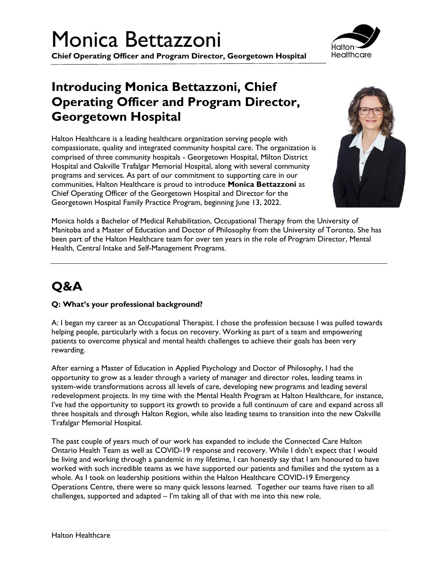# Monica Bettazzoni

**Chief Operating Officer and Program Director, Georgetown Hospital**

### **Introducing Monica Bettazzoni, Chief Operating Officer and Program Director, Georgetown Hospital**

Halton Healthcare is a leading healthcare organization serving people with compassionate, quality and integrated community hospital care. The organization is comprised of three community hospitals - Georgetown Hospital, Milton District Hospital and Oakville Trafalgar Memorial Hospital, along with several community programs and services. As part of our commitment to supporting care in our communities, Halton Healthcare is proud to introduce **Monica Bettazzoni** as Chief Operating Officer of the Georgetown Hospital and Director for the Georgetown Hospital Family Practice Program, beginning June 13, 2022.



Monica holds a Bachelor of Medical Rehabilitation, Occupational Therapy from the University of Manitoba and a Master of Education and Doctor of Philosophy from the University of Toronto. She has been part of the Halton Healthcare team for over ten years in the role of Program Director, Mental Health, Central Intake and Self-Management Programs.

### **Q&A**

#### **Q: What's your professional background?**

A: I began my career as an Occupational Therapist. I chose the profession because I was pulled towards helping people, particularly with a focus on recovery. Working as part of a team and empowering patients to overcome physical and mental health challenges to achieve their goals has been very rewarding.

After earning a Master of Education in Applied Psychology and Doctor of Philosophy, I had the opportunity to grow as a leader through a variety of manager and director roles, leading teams in system-wide transformations across all levels of care, developing new programs and leading several redevelopment projects. In my time with the Mental Health Program at Halton Healthcare, for instance, I've had the opportunity to support its growth to provide a full continuum of care and expand across all three hospitals and through Halton Region, while also leading teams to transition into the new Oakville Trafalgar Memorial Hospital.

The past couple of years much of our work has expanded to include the Connected Care Halton Ontario Health Team as well as COVID-19 response and recovery. While I didn't expect that I would be living and working through a pandemic in my lifetime, I can honestly say that I am honoured to have worked with such incredible teams as we have supported our patients and families and the system as a whole. As I took on leadership positions within the Halton Healthcare COVID-19 Emergency Operations Centre, there were so many quick lessons learned. Together our teams have risen to all challenges, supported and adapted  $-1$ 'm taking all of that with me into this new role.

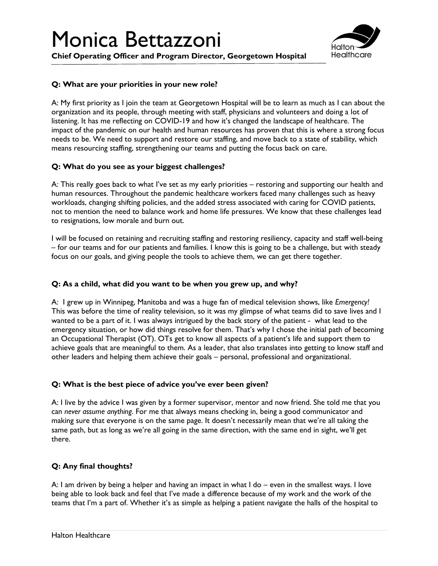### Monica Bettazzoni

**Chief Operating Officer and Program Director, Georgetown Hospital**



#### **Q: What are your priorities in your new role?**

A: My first priority as I join the team at Georgetown Hospital will be to learn as much as I can about the organization and its people, through meeting with staff, physicians and volunteers and doing a lot of listening. It has me reflecting on COVID-19 and how it's changed the landscape of healthcare. The impact of the pandemic on our health and human resources has proven that this is where a strong focus needs to be. We need to support and restore our staffing, and move back to a state of stability, which means resourcing staffing, strengthening our teams and putting the focus back on care.

#### **Q: What do you see as your biggest challenges?**

A: This really goes back to what I've set as my early priorities – restoring and supporting our health and human resources. Throughout the pandemic healthcare workers faced many challenges such as heavy workloads, changing shifting policies, and the added stress associated with caring for COVID patients, not to mention the need to balance work and home life pressures. We know that these challenges lead to resignations, low morale and burn out.

I will be focused on retaining and recruiting staffing and restoring resiliency, capacity and staff well-being – for our teams and for our patients and families. I know this is going to be a challenge, but with steady focus on our goals, and giving people the tools to achieve them, we can get there together.

#### **Q: As a child, what did you want to be when you grew up, and why?**

A: I grew up in Winnipeg, Manitoba and was a huge fan of medical television shows, like *Emergency!* This was before the time of reality television, so it was my glimpse of what teams did to save lives and I wanted to be a part of it. I was always intrigued by the back story of the patient - what lead to the emergency situation, or how did things resolve for them. That's why I chose the initial path of becoming an Occupational Therapist (OT). OTs get to know all aspects of a patient's life and support them to achieve goals that are meaningful to them. As a leader, that also translates into getting to know staff and other leaders and helping them achieve their goals – personal, professional and organizational.

#### **Q: What is the best piece of advice you've ever been given?**

A: I live by the advice I was given by a former supervisor, mentor and now friend. She told me that you can *never assume anything*. For me that always means checking in, being a good communicator and making sure that everyone is on the same page. It doesn't necessarily mean that we're all taking the same path, but as long as we're all going in the same direction, with the same end in sight, we'll get there.

#### **Q: Any final thoughts?**

A: I am driven by being a helper and having an impact in what I do – even in the smallest ways. I love being able to look back and feel that I've made a difference because of my work and the work of the teams that I'm a part of. Whether it's as simple as helping a patient navigate the halls of the hospital to